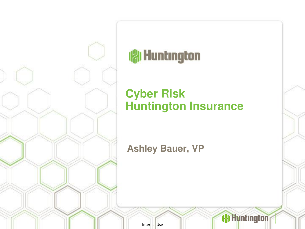

## **Aluntington**

### **Cyber Risk Huntington Insurance**

**Ashley Bauer, VP**

Internal Use

**( Huntington**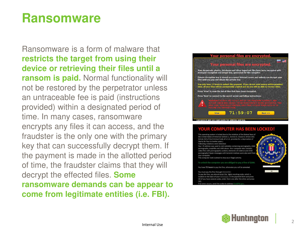### **Ransomware**

Ransomware is a form of malware that **restricts the target from using their device or retrieving their files until a ransom is paid.** Normal functionality will not be restored by the perpetrator unless an untraceable fee is paid (instructions provided) within a designated period of time. In many cases, ransomware encrypts any files it can access, and the fraudster is the only one with the primary key that can successfully decrypt them. If the payment is made in the allotted period of time, the fraudster claims that they will decrypt the effected files. **Some ransomware demands can be appear to come from legitimate entities (i.e. FBI).**



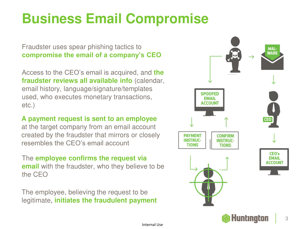# **Business Email Compromise**

Fraudster uses spear phishing tactics to **compromise the email of a company's CEO**

Access to the CEO's email is acquired, and **the fraudster reviews all available info** (calendar, email history, language/signature/templates used, who executes monetary transactions, etc.)

**A payment request is sent to an employee** 

at the target company from an email account created by the fraudster that mirrors or closely resembles the CEO's email account

The **employee confirms the request via email** with the fraudster, who they believe to be the CEO

The employee, believing the request to be legitimate, **initiates the fraudulent payment**

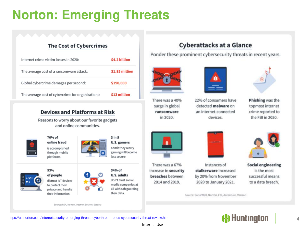# **Norton: Emerging Threats**

### **The Cost of Cybercrimes**

| Internet crime victim losses in 2020:             | \$4.2 billion  |
|---------------------------------------------------|----------------|
| The average cost of a ransomware attack:          | \$1.85 million |
| Global cybercrime damages per second:             | \$190,000      |
| The average cost of cybercrime for organizations: | \$13 million   |

#### **Devices and Platforms at Risk**

Reasons to worry about our favorite gadgets and online communities.



online fraud is accomplished through mobile platforms.

70% of

53%



**U.S. gamers** admit they worry gaming will become less secure.

 $3 in 5$ 

of people distrust IoT devices to protect their privacy and handle their information.



#### **U.S. adults** don't trust social media companies at

all with safeguarding

their data.



There was a 67% increase in security breaches between 2014 and 2019.



Ponder these prominent cybersecurity threats in recent years.



There was a 40% surge in global ransomware in 2020.



22% of consumers have detected malware on an internet-connected devices.



Phishing was the topmost internet crime reported to the FBI in 2020.



**Social engineering** is the most successful means to a data breach.

Source: SonicWall, Norton, FBI, Accenture, Verizon



Instances of stalkerware increased by 20% from November 2020 to January 2021.

*Huntington* 

https://us.norton.com/internetsecurity-emerging-threats-cyberthreat-trends-cybersecurity-threat-review.html

Source: RSA, Norton, Internet Society, Statista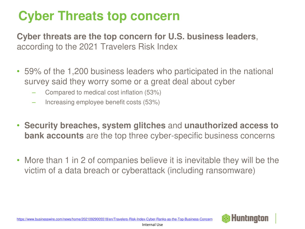## **Cyber Threats top concern**

**Cyber threats are the top concern for U.S. business leaders**, according to the 2021 Travelers Risk Index

- 59% of the 1,200 business leaders who participated in the national survey said they worry some or a great deal about cyber
	- Compared to medical cost inflation (53%)
	- Increasing employee benefit costs (53%)
- **Security breaches, system glitches** and **unauthorized access to bank accounts** are the top three cyber-specific business concerns
- More than 1 in 2 of companies believe it is inevitable they will be the victim of a data breach or cyberattack (including ransomware)

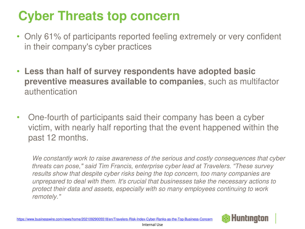## **Cyber Threats top concern**

- Only 61% of participants reported feeling extremely or very confident in their company's cyber practices
- **Less than half of survey respondents have adopted basic preventive measures available to companies**, such as multifactor authentication
- One-fourth of participants said their company has been a cyber victim, with nearly half reporting that the event happened within the past 12 months.

*We constantly work to raise awareness of the serious and costly consequences that cyber threats can pose," said Tim Francis, enterprise cyber lead at Travelers. "These survey results show that despite cyber risks being the top concern, too many companies are unprepared to deal with them. It's crucial that businesses take the necessary actions to protect their data and assets, especially with so many employees continuing to work remotely."*

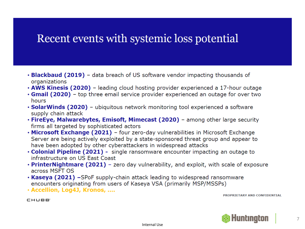### Recent events with systemic loss potential

- **Blackbaud (2019)** data breach of US software vendor impacting thousands of organizations
- . AWS Kinesis (2020) leading cloud hosting provider experienced a 17-hour outage
- Gmail (2020) top three email service provider experienced an outage for over two hours
- SolarWinds (2020) ubiquitous network monitoring tool experienced a software supply chain attack
- FireEye, Malwarebytes, Emisoft, Mimecast (2020) among other large security firms all targeted by sophisticated actors
- Microsoft Exchange (2021) four zero-day vulnerabilities in Microsoft Exchange Server are being actively exploited by a state-sponsored threat group and appear to have been adopted by other cyberattackers in widespread attacks
- Colonial Pipeline (2021) single ransomware encounter impacting an outage to infrastructure on US East Coast
- **PrinterNightmare (2021)** zero day vulnerability, and exploit, with scale of exposure across MSFT OS
- Kaseya (2021) -SPoF supply-chain attack leading to widespread ransomware encounters originating from users of Kaseya VSA (primarily MSP/MSSPs)
- · Accellion, Log4J, Kronos, ....

PROPRIETARY AND CONFIDENTIAL



CHUBB<sup>®</sup>

 $\overline{7}$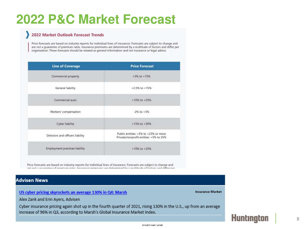### **2022 P&C Market Forecast**

#### 2022 Market Outlook Forecast Trends

Price forecasts are based on industry reports for individual lines of insurance. Forecasts are subject to change and are not a quarantee of premium rates. Insurance premiums are determined by a multitude of factors and differ per organization. These forecasts should be viewed as general information and not insurance or legal advice.

| <b>Line of Coverage</b>          | <b>Price Forecast</b>                                                          |  |
|----------------------------------|--------------------------------------------------------------------------------|--|
| Commercial property              | $+5\%$ to $+15\%$                                                              |  |
| General liability                | $+2.5\%$ to $+15\%$                                                            |  |
| Commercial auto                  | +10% to +25%                                                                   |  |
| Workers' compensation            | $-2\%$ to $+5\%$                                                               |  |
| Cyber liability                  | +15% to +50%                                                                   |  |
| Directors and officers liability | Public entities: +5% to +25% or more<br>Private/nonprofit entities: +5% to 35% |  |
| Employment practices liability   | $+10\%$ to $+25\%$                                                             |  |

Price forecasts are based on industry reports for individual lines of insurance. Forecasts are subject to change and st s austrodas af neordum estas Inturnece neordume ses dataminad hu s multituda af factore and differ

#### **Advisen News**

#### US cyber pricing skyrockets an average 130% in Q4: Marsh

**Insurance Market** 

Alex Zank and Erin Ayers, Advisen

Cyber insurance pricing again shot up in the fourth quarter of 2021, rising 130% in the U.S., up from an average increase of 96% in Q3, according to Marsh's Global Insurance Market Index.

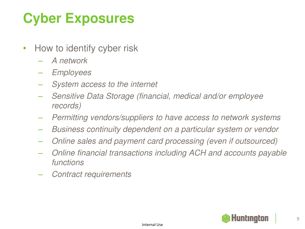# **Cyber Exposures**

- How to identify cyber risk
	- *A network*
	- *Employees*
	- *System access to the internet*
	- *Sensitive Data Storage (financial, medical and/or employee records)*
	- *Permitting vendors/suppliers to have access to network systems*
	- *Business continuity dependent on a particular system or vendor*
	- *Online sales and payment card processing (even if outsourced)*
	- *Online financial transactions including ACH and accounts payable functions*
	- *Contract requirements*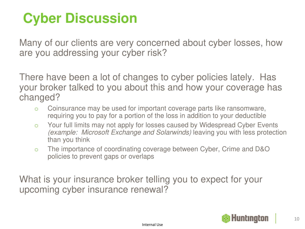# **Cyber Discussion**

Many of our clients are very concerned about cyber losses, how are you addressing your cyber risk?

There have been a lot of changes to cyber policies lately. Has your broker talked to you about this and how your coverage has changed?

- o Coinsurance may be used for important coverage parts like ransomware, requiring you to pay for a portion of the loss in addition to your deductible
- o Your full limits may not apply for losses caused by Widespread Cyber Events *(example: Microsoft Exchange and Solarwinds)* leaving you with less protection than you think
- o The importance of coordinating coverage between Cyber, Crime and D&O policies to prevent gaps or overlaps

What is your insurance broker telling you to expect for your upcoming cyber insurance renewal?